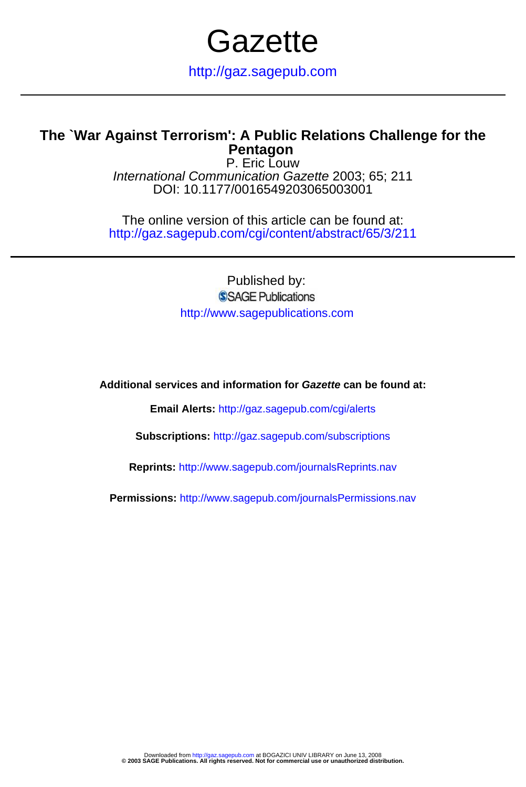# http://gaz.sagepub.com Gazette

# **Pentagon The `War Against Terrorism': A Public Relations Challenge for the**

DOI: 10.1177/0016549203065003001 International Communication Gazette 2003; 65; 211 P. Eric Louw

http://gaz.sagepub.com/cgi/content/abstract/65/3/211 The online version of this article can be found at:

> Published by: SSAGE Publications http://www.sagepublications.com

**Additional services and information for Gazette can be found at:**

**Email Alerts:** <http://gaz.sagepub.com/cgi/alerts>

**Subscriptions:** <http://gaz.sagepub.com/subscriptions>

**Reprints:** <http://www.sagepub.com/journalsReprints.nav>

**Permissions:** <http://www.sagepub.com/journalsPermissions.nav>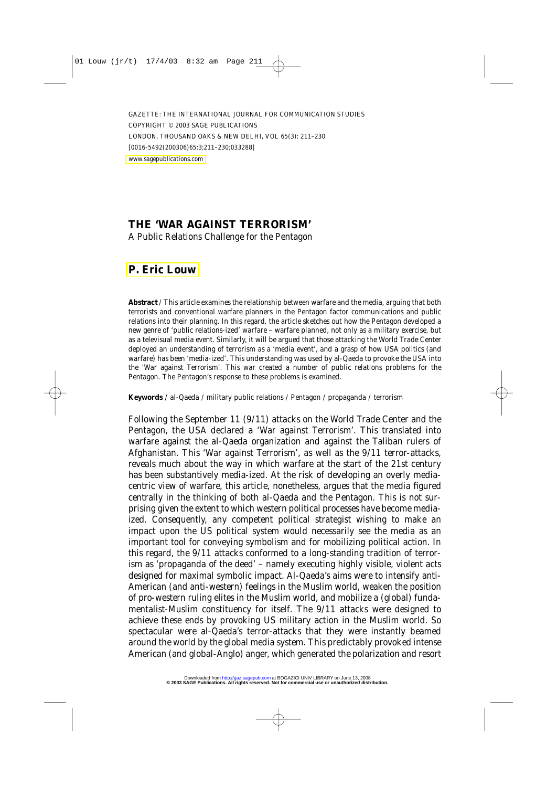GAZETTE: THE INTERNATIONAL JOURNAL FOR COMMUNICATION STUDIES COPYRIGHT © 2003 SAGE PUBLICATIONS LONDON, THOUSAND OAKS & NEW DELHI, VOL 65(3): 211–230 [0016-5492(200306)65:3;211–230;033288] <www.sagepublications.com>

# **THE 'WAR AGAINST TERRORISM'**

A Public Relations Challenge for the Pentagon

# **[P. Eric Louw](#page-20-0)**

**Abstract** / This article examines the relationship between warfare and the media, arguing that both terrorists and conventional warfare planners in the Pentagon factor communications and public relations into their planning. In this regard, the article sketches out how the Pentagon developed a new genre of 'public relations-ized' warfare – warfare planned, not only as a military exercise, but as a televisual media event. Similarly, it will be argued that those attacking the World Trade Center deployed an understanding of terrorism as a 'media event', and a grasp of how USA politics (and warfare) has been 'media-ized'. This understanding was used by al-Qaeda to provoke the USA into the 'War against Terrorism'. This war created a number of public relations problems for the Pentagon. The Pentagon's response to these problems is examined.

**Keywords** / al-Qaeda / military public relations / Pentagon / propaganda / terrorism

Following the September 11 (9/11) attacks on the World Trade Center and the Pentagon, the USA declared a 'War against Terrorism'. This translated into warfare against the al-Qaeda organization and against the Taliban rulers of Afghanistan. This 'War against Terrorism', as well as the 9/11 terror-attacks, reveals much about the way in which warfare at the start of the 21st century has been substantively media-ized. At the risk of developing an overly mediacentric view of warfare, this article, nonetheless, argues that the media figured centrally in the thinking of both al-Qaeda and the Pentagon. This is not surprising given the extent to which western political processes have become mediaized. Consequently, any competent political strategist wishing to make an impact upon the US political system would necessarily see the media as an important tool for conveying symbolism and for mobilizing political action. In this regard, the 9/11 attacks conformed to a long-standing tradition of terrorism as 'propaganda of the deed' – namely executing highly visible, violent acts designed for maximal symbolic impact. Al-Qaeda's aims were to intensify anti-American (and anti-western) feelings in the Muslim world, weaken the position of pro-western ruling elites in the Muslim world, and mobilize a (global) fundamentalist-Muslim constituency for itself. The 9/11 attacks were designed to achieve these ends by provoking US military action in the Muslim world. So spectacular were al-Qaeda's terror-attacks that they were instantly beamed around the world by the global media system. This predictably provoked intense American (and global-Anglo) anger, which generated the polarization and resort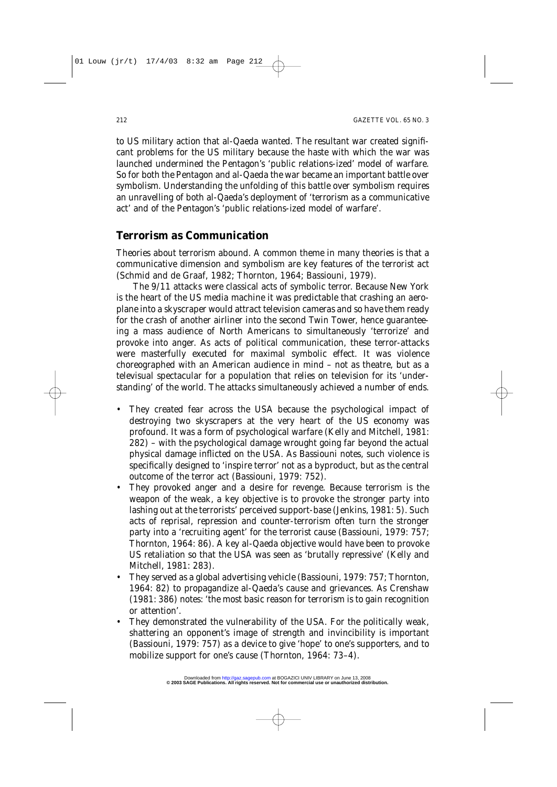to US military action that al-Qaeda wanted. The resultant war created significant problems for the US military because the haste with which the war was launched undermined the Pentagon's 'public relations-ized' model of warfare. So for both the Pentagon and al-Qaeda the war became an important battle over symbolism. Understanding the unfolding of this battle over symbolism requires an unravelling of both al-Qaeda's deployment of 'terrorism as a communicative act' and of the Pentagon's 'public relations-ized model of warfare'.

# **Terrorism as Communication**

Theories about terrorism abound. A common theme in many theories is that a communicative dimension and symbolism are key features of the terrorist act (Schmid and de Graaf, 1982; Thornton, 1964; Bassiouni, 1979).

The 9/11 attacks were classical acts of symbolic terror. Because New York is the heart of the US media machine it was predictable that crashing an aeroplane into a skyscraper would attract television cameras and so have them ready for the crash of another airliner into the second Twin Tower, hence guaranteeing a mass audience of North Americans to simultaneously 'terrorize' and provoke into anger. As acts of political communication, these terror-attacks were masterfully executed for maximal symbolic effect. It was violence choreographed with an American audience in mind – not as theatre, but as a televisual spectacular for a population that relies on television for its 'understanding' of the world. The attacks simultaneously achieved a number of ends.

- They created fear across the USA because the psychological impact of destroying two skyscrapers at the very heart of the US economy was profound. It was a form of psychological warfare (Kelly and Mitchell, 1981: 282) – with the psychological damage wrought going far beyond the actual physical damage inflicted on the USA. As Bassiouni notes, such violence is specifically designed to 'inspire terror' not as a byproduct, but as the central outcome of the terror act (Bassiouni, 1979: 752).
- They provoked anger and a desire for revenge. Because terrorism is the weapon of the weak, a key objective is to provoke the stronger party into lashing out at the terrorists' perceived support-base (Jenkins, 1981: 5). Such acts of reprisal, repression and counter-terrorism often turn the stronger party into a 'recruiting agent' for the terrorist cause (Bassiouni, 1979: 757; Thornton, 1964: 86). A key al-Qaeda objective would have been to provoke US retaliation so that the USA was seen as 'brutally repressive' (Kelly and Mitchell, 1981: 283).
- They served as a global advertising vehicle (Bassiouni, 1979: 757; Thornton, 1964: 82) to propagandize al-Qaeda's cause and grievances. As Crenshaw (1981: 386) notes: 'the most basic reason for terrorism is to gain recognition or attention'.
- They demonstrated the vulnerability of the USA. For the politically weak, shattering an opponent's image of strength and invincibility is important (Bassiouni, 1979: 757) as a device to give 'hope' to one's supporters, and to mobilize support for one's cause (Thornton, 1964: 73–4).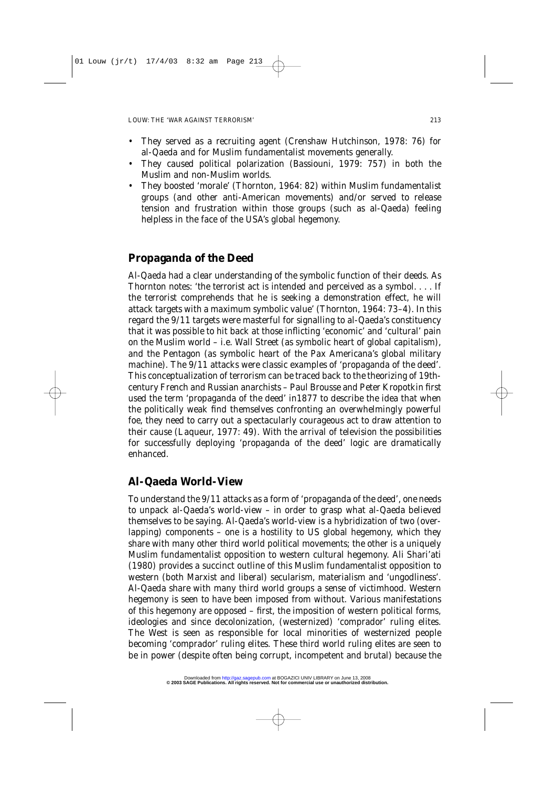- They served as a recruiting agent (Crenshaw Hutchinson, 1978: 76) for al-Qaeda and for Muslim fundamentalist movements generally.
- They caused political polarization (Bassiouni, 1979: 757) in both the Muslim and non-Muslim worlds.
- They boosted 'morale' (Thornton, 1964: 82) within Muslim fundamentalist groups (and other anti-American movements) and/or served to release tension and frustration within those groups (such as al-Qaeda) feeling helpless in the face of the USA's global hegemony.

# **Propaganda of the Deed**

Al-Qaeda had a clear understanding of the symbolic function of their deeds. As Thornton notes: 'the terrorist act is intended and perceived as a symbol. . . . If the terrorist comprehends that he is seeking a demonstration effect, he will attack targets with a maximum symbolic value' (Thornton, 1964: 73–4). In this regard the 9/11 targets were masterful for signalling to al-Qaeda's constituency that it was possible to hit back at those inflicting 'economic' and 'cultural' pain on the Muslim world – i.e. Wall Street (as symbolic heart of global capitalism), and the Pentagon (as symbolic heart of the Pax Americana's global military machine). The 9/11 attacks were classic examples of 'propaganda of the deed'. This conceptualization of terrorism can be traced back to the theorizing of 19thcentury French and Russian anarchists – Paul Brousse and Peter Kropotkin first used the term 'propaganda of the deed' in1877 to describe the idea that when the politically weak find themselves confronting an overwhelmingly powerful foe, they need to carry out a spectacularly courageous act to draw attention to their cause (Laqueur, 1977: 49). With the arrival of television the possibilities for successfully deploying 'propaganda of the deed' logic are dramatically enhanced.

# **Al-Qaeda World-View**

To understand the 9/11 attacks as a form of 'propaganda of the deed', one needs to unpack al-Qaeda's world-view – in order to grasp what al-Qaeda believed themselves to be saying. Al-Qaeda's world-view is a hybridization of two (overlapping) components – one is a hostility to US global hegemony, which they share with many other third world political movements; the other is a uniquely Muslim fundamentalist opposition to western cultural hegemony. Ali Shari'ati (1980) provides a succinct outline of this Muslim fundamentalist opposition to western (both Marxist and liberal) secularism, materialism and 'ungodliness'. Al-Qaeda share with many third world groups a sense of victimhood. Western hegemony is seen to have been imposed from without. Various manifestations of this hegemony are opposed – first, the imposition of western political forms, ideologies and since decolonization, (westernized) 'comprador' ruling elites. The West is seen as responsible for local minorities of westernized people becoming 'comprador' ruling elites. These third world ruling elites are seen to be in power (despite often being corrupt, incompetent and brutal) because the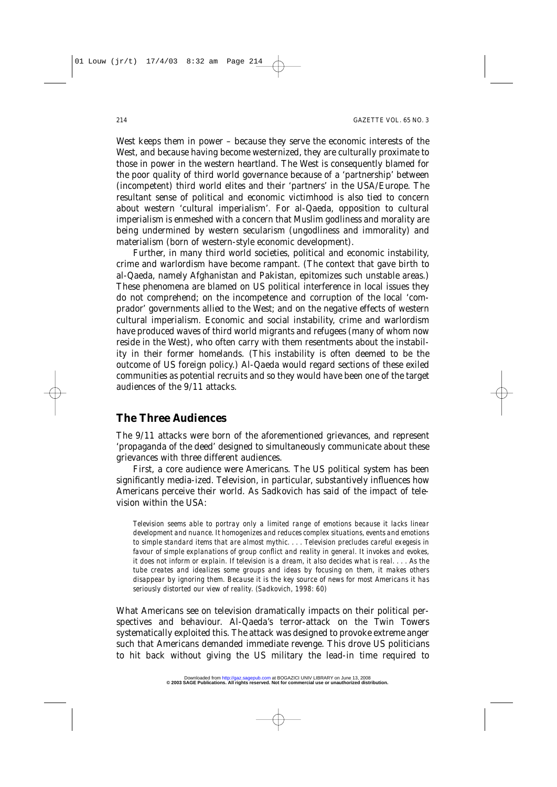West keeps them in power – because they serve the economic interests of the West, and because having become westernized, they are culturally proximate to those in power in the western heartland. The West is consequently blamed for the poor quality of third world governance because of a 'partnership' between (incompetent) third world elites and their 'partners' in the USA/Europe. The resultant sense of political and economic victimhood is also tied to concern about western 'cultural imperialism'. For al-Qaeda, opposition to cultural imperialism is enmeshed with a concern that Muslim godliness and morality are being undermined by western secularism (ungodliness and immorality) and materialism (born of western-style economic development).

Further, in many third world societies, political and economic instability, crime and warlordism have become rampant. (The context that gave birth to al-Qaeda, namely Afghanistan and Pakistan, epitomizes such unstable areas.) These phenomena are blamed on US political interference in local issues they do not comprehend; on the incompetence and corruption of the local 'comprador' governments allied to the West; and on the negative effects of western cultural imperialism. Economic and social instability, crime and warlordism have produced waves of third world migrants and refugees (many of whom now reside in the West), who often carry with them resentments about the instability in their former homelands. (This instability is often deemed to be the outcome of US foreign policy.) Al-Qaeda would regard sections of these exiled communities as potential recruits and so they would have been one of the target audiences of the 9/11 attacks.

# **The Three Audiences**

The 9/11 attacks were born of the aforementioned grievances, and represent 'propaganda of the deed' designed to simultaneously communicate about these grievances with three different audiences.

First, a core audience were Americans. The US political system has been significantly media-ized. Television, in particular, substantively influences how Americans perceive their world. As Sadkovich has said of the impact of television within the USA:

*Television seems able to portray only a limited range of emotions because it lacks linear development and nuance. It homogenizes and reduces complex situations, events and emotions to simple standard items that are almost mythic. . . . Television precludes careful exegesis in favour of simple explanations of group conflict and reality in general. It invokes and evokes, it does not inform or explain. If television is a dream, it also decides what is real. . . . As the tube creates and idealizes some groups and ideas by focusing on them, it makes others disappear by ignoring them. Because it is the key source of news for most Americans it has seriously distorted our view of reality. (Sadkovich, 1998: 60)*

What Americans see on television dramatically impacts on their political perspectives and behaviour. Al-Qaeda's terror-attack on the Twin Towers systematically exploited this. The attack was designed to provoke extreme anger such that Americans demanded immediate revenge. This drove US politicians to hit back without giving the US military the lead-in time required to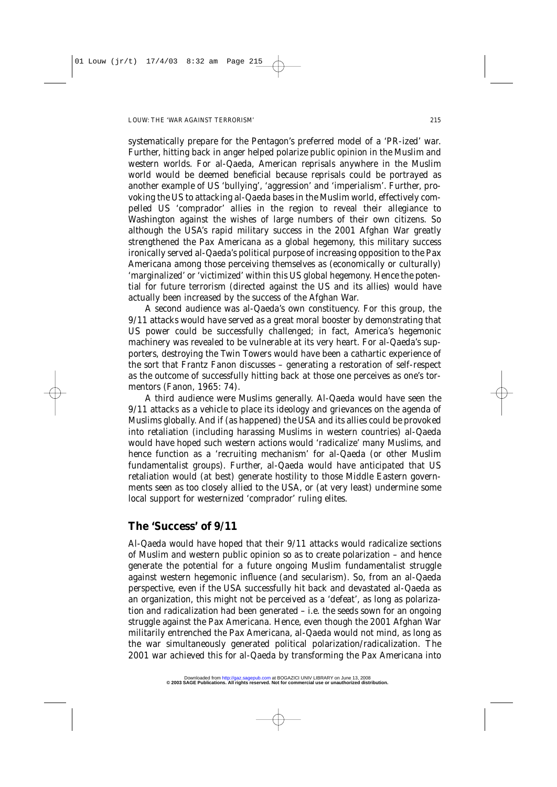systematically prepare for the Pentagon's preferred model of a 'PR-ized' war. Further, hitting back in anger helped polarize public opinion in the Muslim and western worlds. For al-Qaeda, American reprisals anywhere in the Muslim world would be deemed beneficial because reprisals could be portrayed as another example of US 'bullying', 'aggression' and 'imperialism'. Further, provoking the US to attacking al-Qaeda bases in the Muslim world, effectively compelled US 'comprador' allies in the region to reveal their allegiance to Washington against the wishes of large numbers of their own citizens. So although the USA's rapid military success in the 2001 Afghan War greatly strengthened the Pax Americana as a global hegemony, this military success ironically served al-Qaeda's political purpose of increasing opposition to the Pax Americana among those perceiving themselves as (economically or culturally) 'marginalized' or 'victimized' within this US global hegemony. Hence the potential for future terrorism (directed against the US and its allies) would have actually been increased by the success of the Afghan War.

A second audience was al-Qaeda's own constituency. For this group, the 9/11 attacks would have served as a great moral booster by demonstrating that US power could be successfully challenged; in fact, America's hegemonic machinery was revealed to be vulnerable at its very heart. For al-Qaeda's supporters, destroying the Twin Towers would have been a cathartic experience of the sort that Frantz Fanon discusses – generating a restoration of self-respect as the outcome of successfully hitting back at those one perceives as one's tormentors (Fanon, 1965: 74).

A third audience were Muslims generally. Al-Qaeda would have seen the 9/11 attacks as a vehicle to place its ideology and grievances on the agenda of Muslims globally. And if (as happened) the USA and its allies could be provoked into retaliation (including harassing Muslims in western countries) al-Qaeda would have hoped such western actions would 'radicalize' many Muslims, and hence function as a 'recruiting mechanism' for al-Qaeda (or other Muslim fundamentalist groups). Further, al-Qaeda would have anticipated that US retaliation would (at best) generate hostility to those Middle Eastern governments seen as too closely allied to the USA, or (at very least) undermine some local support for westernized 'comprador' ruling elites.

# **The 'Success' of 9/11**

Al-Qaeda would have hoped that their 9/11 attacks would radicalize sections of Muslim and western public opinion so as to create polarization – and hence generate the potential for a future ongoing Muslim fundamentalist struggle against western hegemonic influence (and secularism). So, from an al-Qaeda perspective, even if the USA successfully hit back and devastated al-Qaeda as an organization, this might not be perceived as a 'defeat', as long as polarization and radicalization had been generated – i.e. the seeds sown for an ongoing struggle against the Pax Americana. Hence, even though the 2001 Afghan War militarily entrenched the Pax Americana, al-Qaeda would not mind, as long as the war simultaneously generated political polarization/radicalization. The 2001 war achieved this for al-Qaeda by transforming the Pax Americana into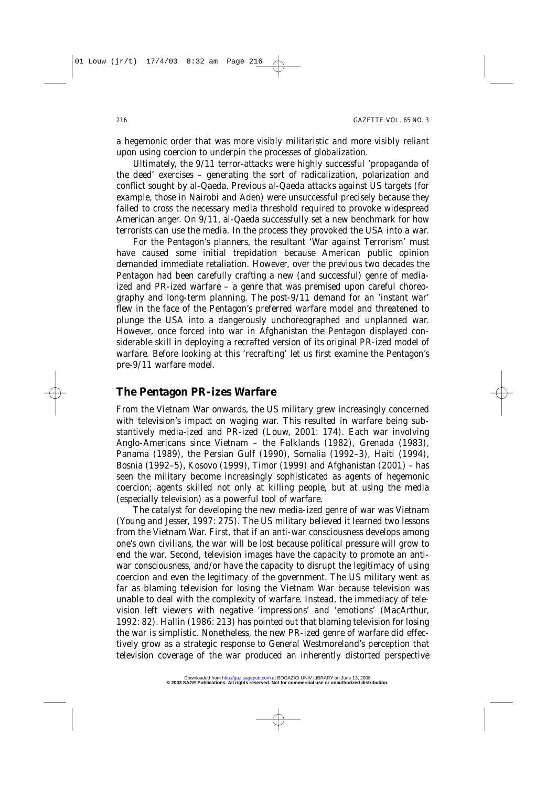a hegemonic order that was more *visibly* militaristic and more *visibly* reliant upon using coercion to underpin the processes of globalization.

Ultimately, the 9/11 terror-attacks were highly successful 'propaganda of the deed' exercises – generating the sort of radicalization, polarization and conflict sought by al-Qaeda. Previous al-Qaeda attacks against US targets (for example, those in Nairobi and Aden) were unsuccessful precisely because they failed to cross the necessary media threshold required to provoke widespread American anger. On 9/11, al-Qaeda successfully set a new benchmark for how terrorists can use the media. In the process they provoked the USA into a war.

For the Pentagon's planners, the resultant 'War against Terrorism' must have caused some initial trepidation because American public opinion demanded immediate retaliation. However, over the previous two decades the Pentagon had been carefully crafting a new (and successful) genre of mediaized and PR-ized warfare – a genre that was premised upon careful choreography and long-term planning. The post-9/11 demand for an 'instant war' flew in the face of the Pentagon's preferred warfare model and threatened to plunge the USA into a dangerously unchoreographed and unplanned war. However, once forced into war in Afghanistan the Pentagon displayed considerable skill in deploying a recrafted version of its original PR-ized model of warfare. Before looking at this 'recrafting' let us first examine the Pentagon's pre-9/11 warfare model.

## **The Pentagon PR-izes Warfare**

From the Vietnam War onwards, the US military grew increasingly concerned with television's impact on waging war. This resulted in warfare being substantively media-ized and PR-ized (Louw, 2001: 174). Each war involving Anglo-Americans since Vietnam – the Falklands (1982), Grenada (1983), Panama (1989), the Persian Gulf (1990), Somalia (1992–3), Haiti (1994), Bosnia (1992–5), Kosovo (1999), Timor (1999) and Afghanistan (2001) – has seen the military become increasingly sophisticated as agents of hegemonic coercion; agents skilled not only at killing people, but at using the media (especially television) as a powerful tool of warfare.

The catalyst for developing the new media-ized genre of war was Vietnam (Young and Jesser, 1997: 275). The US military believed it learned two lessons from the Vietnam War. First, that if an anti-war consciousness develops among one's own civilians, the war will be lost because political pressure will grow to end the war. Second, television images have the capacity to promote an antiwar consciousness, and/or have the capacity to disrupt the legitimacy of using coercion and even the legitimacy of the government. The US military went as far as blaming television for losing the Vietnam War because television was unable to deal with the complexity of warfare. Instead, the immediacy of television left viewers with negative 'impressions' and 'emotions' (MacArthur, 1992: 82). Hallin (1986: 213) has pointed out that blaming television for losing the war is simplistic. Nonetheless, the new PR-ized genre of warfare did effectively grow as a strategic response to General Westmoreland's perception that television coverage of the war produced an inherently distorted perspective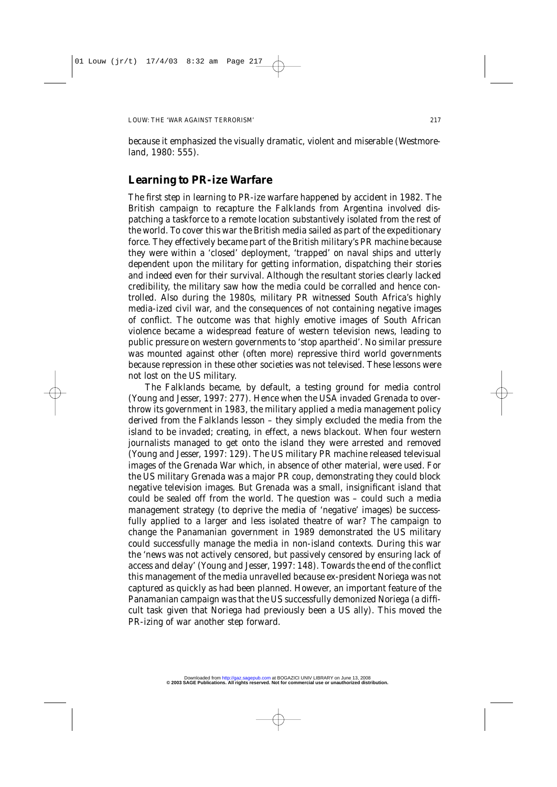because it emphasized the visually dramatic, violent and miserable (Westmoreland, 1980: 555).

#### **Learning to PR-ize Warfare**

The first step in learning to PR-ize warfare happened by accident in 1982. The British campaign to recapture the Falklands from Argentina involved dispatching a taskforce to a remote location substantively isolated from the rest of the world. To cover this war the British media sailed as part of the expeditionary force. They effectively became part of the British military's PR machine because they were within a 'closed' deployment, 'trapped' on naval ships and utterly dependent upon the military for getting information, dispatching their stories and indeed even for their survival. Although the resultant stories clearly lacked credibility, the military saw how the media could be corralled and hence controlled. Also during the 1980s, military PR witnessed South Africa's highly media-ized civil war, and the consequences of not containing negative images of conflict. The outcome was that highly emotive images of South African violence became a widespread feature of western television news, leading to public pressure on western governments to 'stop apartheid'. No similar pressure was mounted against other (often more) repressive third world governments because repression in these other societies was not televised. These lessons were not lost on the US military.

The Falklands became, by default, a testing ground for media control (Young and Jesser, 1997: 277). Hence when the USA invaded Grenada to overthrow its government in 1983, the military applied a media management policy derived from the Falklands lesson – they simply excluded the media from the island to be invaded; creating, in effect, a news blackout. When four western journalists managed to get onto the island they were arrested and removed (Young and Jesser, 1997: 129). The US military PR machine released televisual images of the Grenada War which, in absence of other material, were used. For the US military Grenada was a major PR coup, demonstrating they could block negative television images. But Grenada was a small, insignificant island that could be sealed off from the world. The question was – could such a media management strategy (to deprive the media of 'negative' images) be successfully applied to a larger and less isolated theatre of war? The campaign to change the Panamanian government in 1989 demonstrated the US military could successfully manage the media in non-island contexts. During this war the 'news was not actively censored, but passively censored by ensuring lack of access and delay' (Young and Jesser, 1997: 148). Towards the end of the conflict this management of the media unravelled because ex-president Noriega was not captured as quickly as had been planned. However, an important feature of the Panamanian campaign was that the US successfully demonized Noriega (a difficult task given that Noriega had previously been a US ally). This moved the PR-izing of war another step forward.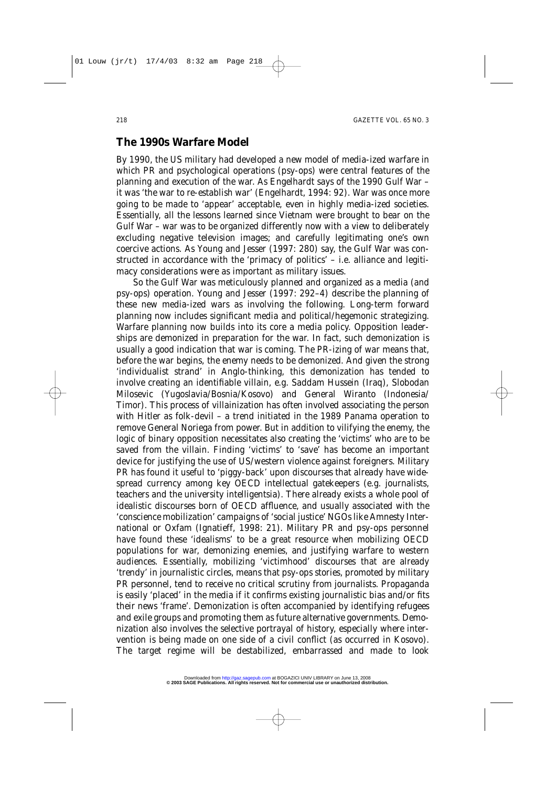#### **The 1990s Warfare Model**

By 1990, the US military had developed a new model of media-ized warfare in which PR and psychological operations (psy-ops) were central features of the planning and execution of the war. As Engelhardt says of the 1990 Gulf War – it was 'the war to re-establish war' (Engelhardt, 1994: 92). War was once more going to be made to 'appear' acceptable, even in highly media-ized societies. Essentially, all the lessons learned since Vietnam were brought to bear on the Gulf War – war was to be organized differently now with a view to deliberately excluding negative television images; and carefully legitimating one's own coercive actions. As Young and Jesser (1997: 280) say, the Gulf War was constructed in accordance with the 'primacy of politics' – i.e. alliance and legitimacy considerations were as important as military issues.

So the Gulf War was meticulously planned and organized as a media (and psy-ops) operation. Young and Jesser (1997: 292–4) describe the planning of these new media-ized wars as involving the following. Long-term forward planning now includes significant media and political/hegemonic strategizing. Warfare planning now builds into its core a media policy. Opposition leaderships are demonized in preparation for the war. In fact, such demonization is usually a good indication that war is coming. The PR-izing of war means that, before the war begins, the enemy needs to be demonized. And given the strong 'individualist strand' in Anglo-thinking, this demonization has tended to involve creating an identifiable villain, e.g. Saddam Hussein (Iraq), Slobodan Milosevic (Yugoslavia/Bosnia/Kosovo) and General Wiranto (Indonesia/ Timor). This process of villainization has often involved associating the person with Hitler as folk-devil – a trend initiated in the 1989 Panama operation to remove General Noriega from power. But in addition to vilifying the enemy, the logic of binary opposition necessitates also creating the 'victims' who are to be saved from the villain. Finding 'victims' to 'save' has become an important device for justifying the use of US/western violence against foreigners. Military PR has found it useful to 'piggy-back' upon discourses that already have widespread currency among key OECD intellectual gatekeepers (e.g. journalists, teachers and the university intelligentsia). There already exists a whole pool of idealistic discourses born of OECD affluence, and usually associated with the 'conscience mobilization' campaigns of 'social justice' NGOs like Amnesty International or Oxfam (Ignatieff, 1998: 21). Military PR and psy-ops personnel have found these 'idealisms' to be a great resource when mobilizing OECD populations for war, demonizing enemies, and justifying warfare to western audiences. Essentially, mobilizing 'victimhood' discourses that are already 'trendy' in journalistic circles, means that psy-ops stories, promoted by military PR personnel, tend to receive no critical scrutiny from journalists. Propaganda is easily 'placed' in the media if it confirms existing journalistic bias and/or fits their news 'frame'. Demonization is often accompanied by identifying refugees and exile groups and promoting them as future alternative governments. Demonization also involves the selective portrayal of history, especially where intervention is being made on one side of a civil conflict (as occurred in Kosovo). The target regime will be destabilized, embarrassed and made to look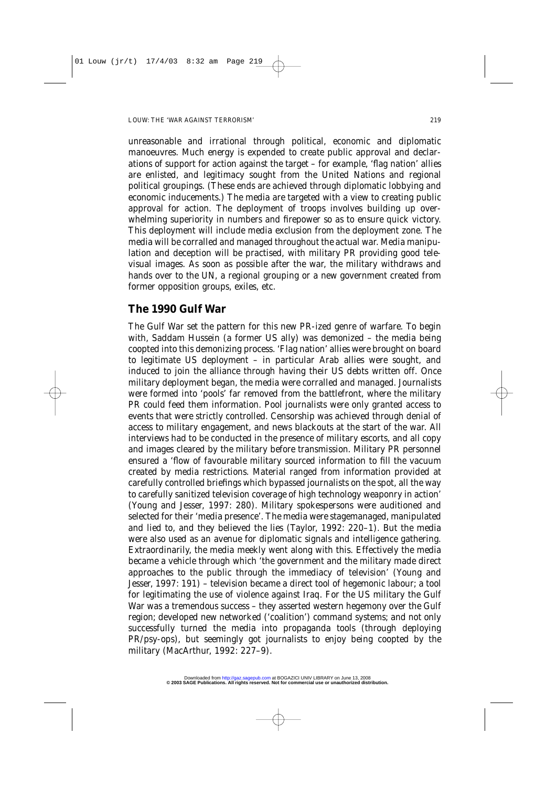unreasonable and irrational through political, economic and diplomatic manoeuvres. Much energy is expended to create public approval and declarations of support for action against the target – for example, 'flag nation' allies are enlisted, and legitimacy sought from the United Nations and regional political groupings. (These ends are achieved through diplomatic lobbying and economic inducements.) The media are targeted with a view to creating public approval for action. The deployment of troops involves building up overwhelming superiority in numbers and firepower so as to ensure quick victory. This deployment will include media exclusion from the deployment zone. The media will be corralled and managed throughout the actual war. Media manipulation and deception will be practised, with military PR providing good televisual images. As soon as possible after the war, the military withdraws and hands over to the UN, a regional grouping or a new government created from former opposition groups, exiles, etc.

### **The 1990 Gulf War**

The Gulf War set the pattern for this new PR-ized genre of warfare. To begin with, Saddam Hussein (a former US ally) was demonized – the media being coopted into this demonizing process. 'Flag nation' allies were brought on board to legitimate US deployment – in particular Arab allies were sought, and induced to join the alliance through having their US debts written off. Once military deployment began, the media were corralled and managed. Journalists were formed into 'pools' far removed from the battlefront, where the military PR could feed them information. Pool journalists were only granted access to events that were strictly controlled. Censorship was achieved through denial of access to military engagement, and news blackouts at the start of the war. All interviews had to be conducted in the presence of military escorts, and all copy and images cleared by the military before transmission. Military PR personnel ensured a 'flow of favourable military sourced information to fill the vacuum created by media restrictions. Material ranged from information provided at carefully controlled briefings which bypassed journalists on the spot, all the way to carefully sanitized television coverage of high technology weaponry in action' (Young and Jesser, 1997: 280). Military spokespersons were auditioned and selected for their 'media presence'. The media were stagemanaged, manipulated and lied to, and they believed the lies (Taylor, 1992: 220–1). But the media were also used as an avenue for diplomatic signals and intelligence gathering. Extraordinarily, the media meekly went along with this. Effectively the media became a vehicle through which 'the government and the military made direct approaches to the public through the immediacy of television' (Young and Jesser, 1997: 191) – television became a direct tool of hegemonic labour; a tool for legitimating the use of violence against Iraq. For the US military the Gulf War was a tremendous success – they asserted western hegemony over the Gulf region; developed new networked ('coalition') command systems; and not only successfully turned the media into propaganda tools (through deploying PR/psy-ops), but seemingly got journalists to enjoy being coopted by the military (MacArthur, 1992: 227–9).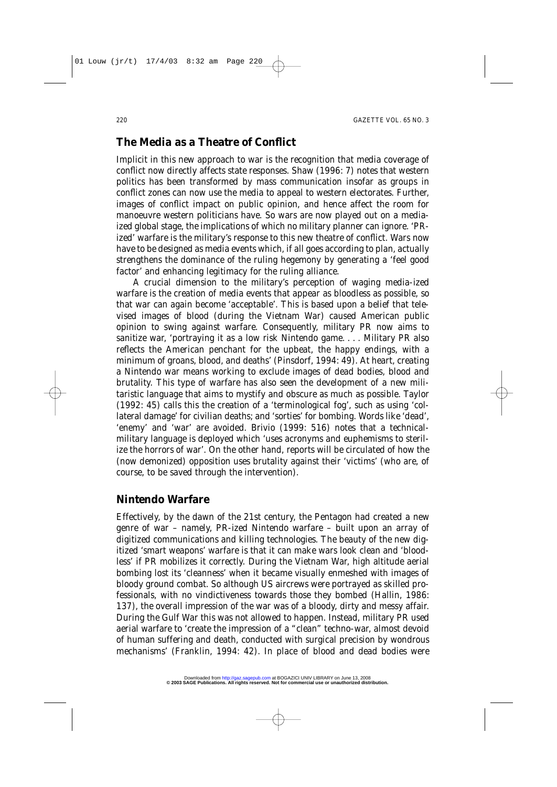## **The Media as a Theatre of Conflict**

Implicit in this new approach to war is the recognition that media coverage of conflict now directly affects state responses. Shaw (1996: 7) notes that western politics has been transformed by mass communication insofar as groups in conflict zones can now use the media to appeal to western electorates. Further, images of conflict impact on public opinion, and hence affect the room for manoeuvre western politicians have. So wars are now played out on a mediaized global stage, the implications of which no military planner can ignore. 'PRized' warfare is the military's response to this new theatre of conflict. Wars now have to be designed as media events which, if all goes according to plan, actually strengthens the dominance of the ruling hegemony by generating a 'feel good factor' and enhancing legitimacy for the ruling alliance.

A crucial dimension to the military's perception of waging media-ized warfare is the creation of media events that appear as bloodless as possible, so that war can again become 'acceptable'. This is based upon a belief that televised images of blood (during the Vietnam War) caused American public opinion to swing against warfare. Consequently, military PR now aims to sanitize war, 'portraying it as a low risk Nintendo game. . . . Military PR also reflects the American penchant for the upbeat, the happy endings, with a minimum of groans, blood, and deaths' (Pinsdorf, 1994: 49). At heart, creating a Nintendo war means working to exclude images of dead bodies, blood and brutality. This type of warfare has also seen the development of a new militaristic language that aims to mystify and obscure as much as possible. Taylor (1992: 45) calls this the creation of a 'terminological fog', such as using 'collateral damage' for civilian deaths; and 'sorties' for bombing. Words like 'dead', 'enemy' and 'war' are avoided. Brivio (1999: 516) notes that a technicalmilitary language is deployed which 'uses acronyms and euphemisms to sterilize the horrors of war'. On the other hand, reports will be circulated of how the (now demonized) opposition uses brutality against their 'victims' (who are, of course, to be saved through the intervention).

# **Nintendo Warfare**

Effectively, by the dawn of the 21st century, the Pentagon had created a new genre of war – namely, PR-ized Nintendo warfare – built upon an array of digitized communications and killing technologies. The beauty of the new digitized 'smart weapons' warfare is that it can make wars look clean and 'bloodless' if PR mobilizes it correctly. During the Vietnam War, high altitude aerial bombing lost its 'cleanness' when it became visually enmeshed with images of bloody ground combat. So although US aircrews were portrayed as skilled professionals, with no vindictiveness towards those they bombed (Hallin, 1986: 137), the overall impression of the war was of a bloody, dirty and messy affair. During the Gulf War this was not allowed to happen. Instead, military PR used aerial warfare to 'create the impression of a "clean" techno-war, almost devoid of human suffering and death, conducted with surgical precision by wondrous mechanisms' (Franklin, 1994: 42). In place of blood and dead bodies were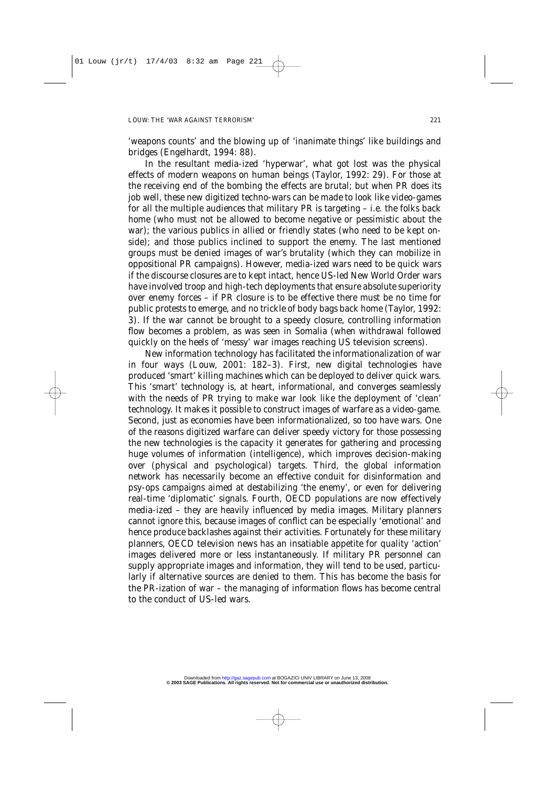'weapons counts' and the blowing up of 'inanimate things' like buildings and bridges (Engelhardt, 1994: 88).

In the resultant media-ized 'hyperwar', what got lost was the physical effects of modern weapons on human beings (Taylor, 1992: 29). For those at the receiving end of the bombing the effects are brutal; but when PR does its job well, these new digitized techno-wars can be made to look like video-games for all the multiple audiences that military PR is targeting – i.e. the folks back home (who must not be allowed to become negative or pessimistic about the war); the various publics in allied or friendly states (who need to be kept onside); and those publics inclined to support the enemy. The last mentioned groups must be denied images of war's brutality (which they can mobilize in oppositional PR campaigns). However, media-ized wars need to be quick wars if the discourse closures are to kept intact, hence US-led New World Order wars have involved troop and high-tech deployments that ensure absolute superiority over enemy forces – if PR closure is to be effective there must be no time for public protests to emerge, and no trickle of body bags back home (Taylor, 1992: 3). If the war cannot be brought to a speedy closure, controlling information flow becomes a problem, as was seen in Somalia (when withdrawal followed quickly on the heels of 'messy' war images reaching US television screens).

New information technology has facilitated the informationalization of war in four ways (Louw, 2001: 182–3). First, new digital technologies have produced 'smart' killing machines which can be deployed to deliver quick wars. This 'smart' technology is, at heart, informational, and converges seamlessly with the needs of PR trying to make war look like the deployment of 'clean' technology. It makes it possible to construct images of warfare as a video-game. Second, just as economies have been informationalized, so too have wars. One of the reasons digitized warfare can deliver speedy victory for those possessing the new technologies is the capacity it generates for gathering and processing huge volumes of information (intelligence), which improves decision-making over (physical and psychological) targets. Third, the global information network has necessarily become an effective conduit for disinformation and psy-ops campaigns aimed at destabilizing 'the enemy', or even for delivering real-time 'diplomatic' signals. Fourth, OECD populations are now effectively media-ized – they are heavily influenced by media images. Military planners cannot ignore this, because images of conflict can be especially 'emotional' and hence produce backlashes against their activities. Fortunately for these military planners, OECD television news has an insatiable appetite for quality 'action' images delivered more or less instantaneously. If military PR personnel can supply appropriate images and information, they will tend to be used, particularly if alternative sources are denied to them. This has become the basis for the PR-ization of war – the managing of information flows has become central to the conduct of US-led wars.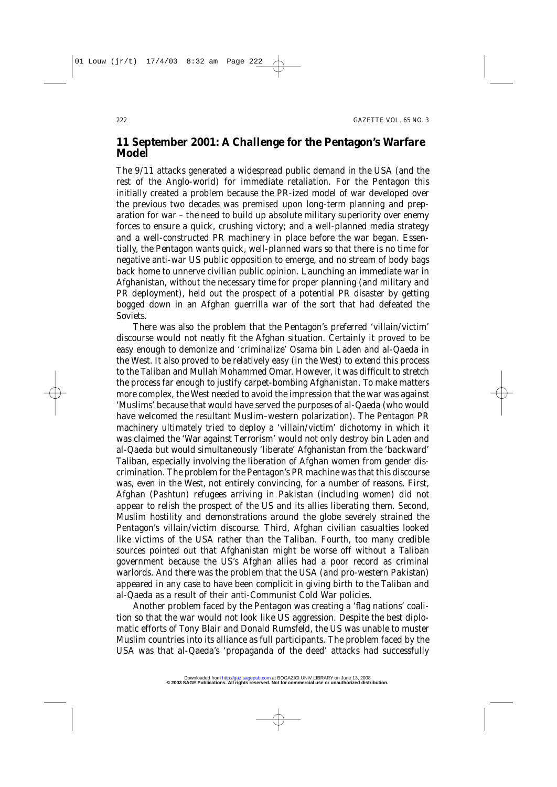# **11 September 2001: A Challenge for the Pentagon's Warfare Model**

The 9/11 attacks generated a widespread public demand in the USA (and the rest of the Anglo-world) for immediate retaliation. For the Pentagon this initially created a problem because the PR-ized model of war developed over the previous two decades was premised upon long-term planning and preparation for war – the need to build up absolute military superiority over enemy forces to ensure a quick, crushing victory; and a well-planned media strategy and a well-constructed PR machinery in place before the war began. Essentially, the Pentagon wants quick, well-planned wars so that there is no time for negative anti-war US public opposition to emerge, and no stream of body bags back home to unnerve civilian public opinion. Launching an immediate war in Afghanistan, without the necessary time for proper planning (and military and PR deployment), held out the prospect of a potential PR disaster by getting bogged down in an Afghan guerrilla war of the sort that had defeated the Soviets.

There was also the problem that the Pentagon's preferred 'villain/victim' discourse would not neatly fit the Afghan situation. Certainly it proved to be easy enough to demonize and 'criminalize' Osama bin Laden and al-Qaeda in the West. It also proved to be relatively easy (in the West) to extend this process to the Taliban and Mullah Mohammed Omar. However, it was difficult to stretch the process far enough to justify carpet-bombing Afghanistan. To make matters more complex, the West needed to avoid the impression that the war was against 'Muslims' because that would have served the purposes of al-Qaeda (who would have welcomed the resultant Muslim–western polarization). The Pentagon PR machinery ultimately tried to deploy a 'villain/victim' dichotomy in which it was claimed the 'War against Terrorism' would not only destroy bin Laden and al-Qaeda but would simultaneously 'liberate' Afghanistan from the 'backward' Taliban, especially involving the liberation of Afghan women from gender discrimination. The problem for the Pentagon's PR machine was that this discourse was, even in the West, not entirely convincing, for a number of reasons. First, Afghan (Pashtun) refugees arriving in Pakistan (including women) did not appear to relish the prospect of the US and its allies liberating them. Second, Muslim hostility and demonstrations around the globe severely strained the Pentagon's villain/victim discourse. Third, Afghan civilian casualties looked like victims of the USA rather than the Taliban. Fourth, too many credible sources pointed out that Afghanistan might be worse off without a Taliban government because the US's Afghan allies had a poor record as criminal warlords. And there was the problem that the USA (and pro-western Pakistan) appeared in any case to have been complicit in giving birth to the Taliban and al-Qaeda as a result of their anti-Communist Cold War policies.

Another problem faced by the Pentagon was creating a 'flag nations' coalition so that the war would not look like US aggression. Despite the best diplomatic efforts of Tony Blair and Donald Rumsfeld, the US was unable to muster Muslim countries into its alliance as full participants. The problem faced by the USA was that al-Qaeda's 'propaganda of the deed' attacks had successfully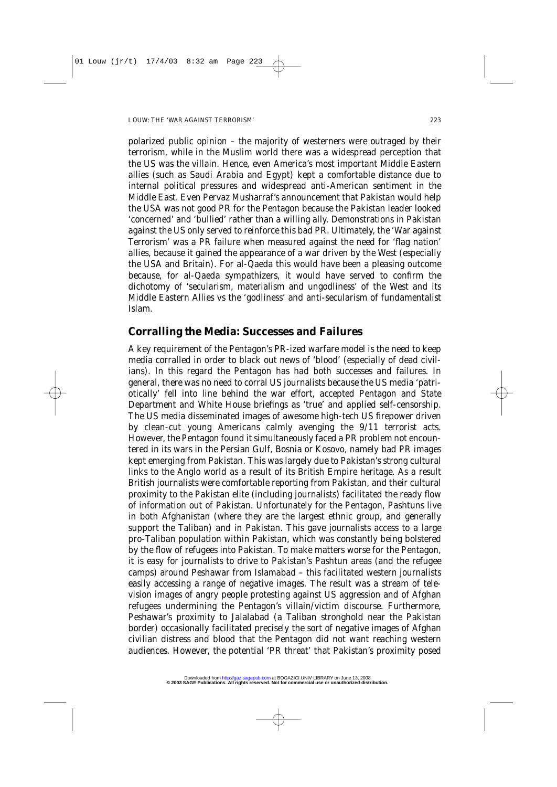polarized public opinion – the majority of westerners were outraged by their terrorism, while in the Muslim world there was a widespread perception that the US was the villain. Hence, even America's most important Middle Eastern allies (such as Saudi Arabia and Egypt) kept a comfortable distance due to internal political pressures and widespread anti-American sentiment in the Middle East. Even Pervaz Musharraf's announcement that Pakistan would help the USA was not good PR for the Pentagon because the Pakistan leader looked 'concerned' and 'bullied' rather than a willing ally. Demonstrations in Pakistan against the US only served to reinforce this bad PR. Ultimately, the 'War against Terrorism' was a PR failure when measured against the need for 'flag nation' allies, because it gained the appearance of a war driven by the West (especially the USA and Britain). For al-Qaeda this would have been a pleasing outcome because, for al-Qaeda sympathizers, it would have served to confirm the dichotomy of 'secularism, materialism and ungodliness' of the West and its Middle Eastern Allies vs the 'godliness' and anti-secularism of fundamentalist Islam.

## **Corralling the Media: Successes and Failures**

A key requirement of the Pentagon's PR-ized warfare model is the need to keep media corralled in order to black out news of 'blood' (especially of dead civilians). In this regard the Pentagon has had both successes and failures. In general, there was no need to corral US journalists because the US media 'patriotically' fell into line behind the war effort, accepted Pentagon and State Department and White House briefings as 'true' and applied self-censorship. The US media disseminated images of awesome high-tech US firepower driven by clean-cut young Americans calmly avenging the 9/11 terrorist acts. However, the Pentagon found it simultaneously faced a PR problem not encountered in its wars in the Persian Gulf, Bosnia or Kosovo, namely bad PR images kept emerging from Pakistan. This was largely due to Pakistan's strong cultural links to the Anglo world as a result of its British Empire heritage. As a result British journalists were comfortable reporting from Pakistan, and their cultural proximity to the Pakistan elite (including journalists) facilitated the ready flow of information out of Pakistan. Unfortunately for the Pentagon, Pashtuns live in both Afghanistan (where they are the largest ethnic group, and generally support the Taliban) and in Pakistan. This gave journalists access to a large pro-Taliban population within Pakistan, which was constantly being bolstered by the flow of refugees into Pakistan. To make matters worse for the Pentagon, it is easy for journalists to drive to Pakistan's Pashtun areas (and the refugee camps) around Peshawar from Islamabad – this facilitated western journalists easily accessing a range of negative images. The result was a stream of television images of angry people protesting against US aggression and of Afghan refugees undermining the Pentagon's villain/victim discourse. Furthermore, Peshawar's proximity to Jalalabad (a Taliban stronghold near the Pakistan border) occasionally facilitated precisely the sort of negative images of Afghan civilian distress and blood that the Pentagon did not want reaching western audiences. However, the potential 'PR threat' that Pakistan's proximity posed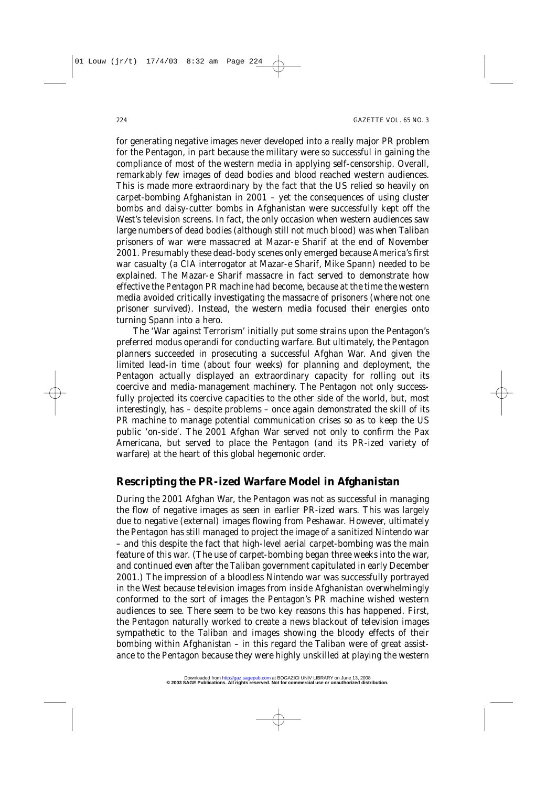for generating negative images never developed into a really major PR problem for the Pentagon, in part because the military were so successful in gaining the compliance of most of the western media in applying self-censorship. Overall, remarkably few images of dead bodies and blood reached western audiences. This is made more extraordinary by the fact that the US relied so heavily on carpet-bombing Afghanistan in 2001 – yet the consequences of using cluster bombs and daisy-cutter bombs in Afghanistan were successfully kept off the West's television screens. In fact, the only occasion when western audiences saw large numbers of dead bodies (although still not much blood) was when Taliban prisoners of war were massacred at Mazar-e Sharif at the end of November 2001. Presumably these dead-body scenes only emerged because America's first war casualty (a CIA interrogator at Mazar-e Sharif, Mike Spann) needed to be explained. The Mazar-e Sharif massacre in fact served to demonstrate how effective the Pentagon PR machine had become, because at the time the western media avoided critically investigating the massacre of prisoners (where not one prisoner survived). Instead, the western media focused their energies onto turning Spann into a hero.

The 'War against Terrorism' initially put some strains upon the Pentagon's preferred modus operandi for conducting warfare. But ultimately, the Pentagon planners succeeded in prosecuting a successful Afghan War. And given the limited lead-in time (about four weeks) for planning and deployment, the Pentagon actually displayed an extraordinary capacity for rolling out its coercive and media-management machinery. The Pentagon not only successfully projected its coercive capacities to the other side of the world, but, most interestingly, has – despite problems – once again demonstrated the skill of its PR machine to manage potential communication crises so as to keep the US public 'on-side'. The 2001 Afghan War served not only to confirm the Pax Americana, but served to place the Pentagon (and its PR-ized variety of warfare) at the heart of this global hegemonic order.

## **Rescripting the PR-ized Warfare Model in Afghanistan**

During the 2001 Afghan War, the Pentagon was not as successful in managing the flow of negative images as seen in earlier PR-ized wars. This was largely due to negative (external) images flowing from Peshawar. However, ultimately the Pentagon has still managed to project the image of a sanitized Nintendo war – and this despite the fact that high-level aerial carpet-bombing was the main feature of this war. (The use of carpet-bombing began three weeks into the war, and continued even after the Taliban government capitulated in early December 2001.) The impression of a bloodless Nintendo war was successfully portrayed in the West because television images from *inside* Afghanistan overwhelmingly conformed to the sort of images the Pentagon's PR machine wished western audiences to see. There seem to be two key reasons this has happened. First, the Pentagon naturally worked to create a news blackout of television images sympathetic to the Taliban and images showing the bloody effects of their bombing within Afghanistan – in this regard the Taliban were of great assistance to the Pentagon because they were highly unskilled at playing the western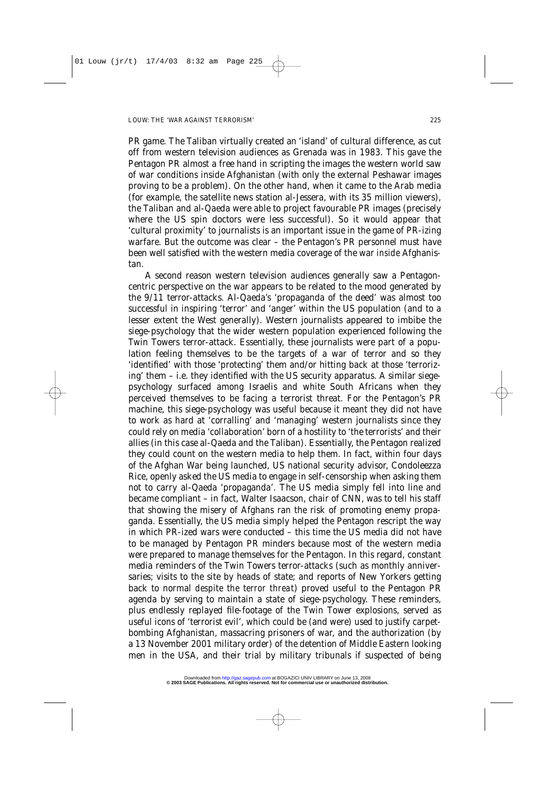PR game. The Taliban virtually created an 'island' of cultural difference, as cut off from western television audiences as Grenada was in 1983. This gave the Pentagon PR almost a free hand in scripting the images the western world saw of war conditions inside Afghanistan (with only the external Peshawar images proving to be a problem). On the other hand, when it came to the Arab media (for example, the satellite news station al-Jessera, with its 35 million viewers), the Taliban and al-Qaeda were able to project favourable PR images (precisely where the US spin doctors were less successful). So it would appear that 'cultural proximity' to journalists is an important issue in the game of PR-izing warfare. But the outcome was clear – the Pentagon's PR personnel must have been well satisfied with the western media coverage of the war *inside* Afghanistan.

A second reason western television audiences generally saw a Pentagoncentric perspective on the war appears to be related to the mood generated by the 9/11 terror-attacks. Al-Qaeda's 'propaganda of the deed' was almost too successful in inspiring 'terror' and 'anger' within the US population (and to a lesser extent the West generally). Western journalists appeared to imbibe the siege-psychology that the wider western population experienced following the Twin Towers terror-attack. Essentially, these journalists were part of a population feeling themselves to be the targets of a war of terror and so they 'identified' with those 'protecting' them and/or hitting back at those 'terrorizing' them – i.e. they identified with the US security apparatus. A similar siegepsychology surfaced among Israelis and white South Africans when they perceived themselves to be facing a terrorist threat. For the Pentagon's PR machine, this siege-psychology was useful because it meant they did not have to work as hard at 'corralling' and 'managing' western journalists since they could rely on media 'collaboration' born of a hostility to 'the terrorists' and their allies (in this case al-Qaeda and the Taliban). Essentially, the Pentagon realized they could count on the western media to help them. In fact, within four days of the Afghan War being launched, US national security advisor, Condoleezza Rice, openly asked the US media to engage in self-censorship when asking them not to carry al-Qaeda 'propaganda'. The US media simply fell into line and became compliant – in fact, Walter Isaacson, chair of CNN, was to tell his staff that showing the misery of Afghans ran the risk of promoting enemy propaganda. Essentially, the US media simply helped the Pentagon rescript the way in which PR-ized wars were conducted – this time the US media did not have to be managed by Pentagon PR minders because most of the western media were prepared to manage themselves for the Pentagon. In this regard, constant media reminders of the Twin Towers terror-attacks (such as monthly anniversaries; visits to the site by heads of state; and reports of New Yorkers getting back to normal *despite the terror threat*) proved useful to the Pentagon PR agenda by serving to maintain a state of siege-psychology. These reminders, plus endlessly replayed file-footage of the Twin Tower explosions, served as useful icons of 'terrorist evil', which could be (and were) used to justify carpetbombing Afghanistan, massacring prisoners of war, and the authorization (by a 13 November 2001 military order) of the detention of Middle Eastern looking men in the USA, and their trial by military tribunals if suspected of being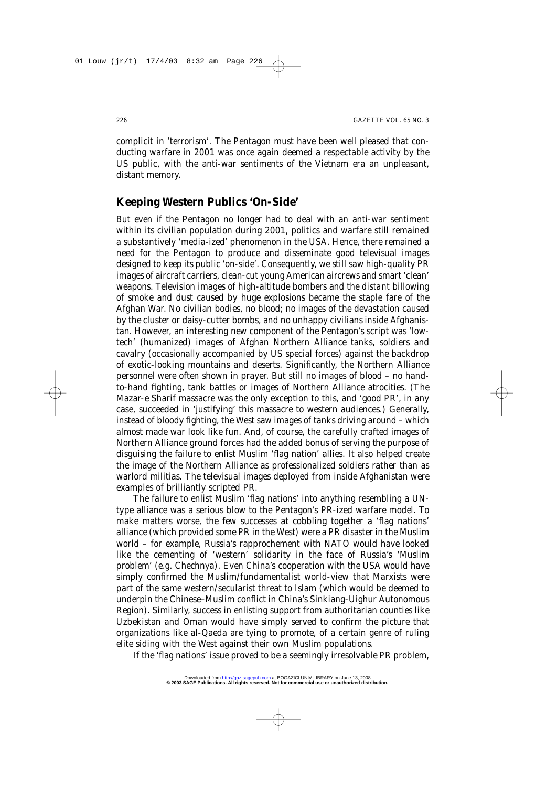complicit in 'terrorism'. The Pentagon must have been well pleased that conducting warfare in 2001 was once again deemed a respectable activity by the US public, with the anti-war sentiments of the Vietnam era an unpleasant, distant memory.

# **Keeping Western Publics 'On-Side'**

But even if the Pentagon no longer had to deal with an anti-war sentiment within its civilian population during 2001, politics and warfare still remained a substantively 'media-ized' phenomenon in the USA. Hence, there remained a need for the Pentagon to produce and disseminate good televisual images designed to keep its public 'on-side'. Consequently, we still saw high-quality PR images of aircraft carriers, clean-cut young American aircrews and smart 'clean' weapons. Television images of high-altitude bombers and the *distant* billowing of smoke and dust caused by huge explosions became the staple fare of the Afghan War. No civilian bodies, no blood; no images of the devastation caused by the cluster or daisy-cutter bombs, and no unhappy civilians *inside* Afghanistan. However, an interesting new component of the Pentagon's script was 'lowtech' (humanized) images of Afghan Northern Alliance tanks, soldiers and cavalry (occasionally accompanied by US special forces) against the backdrop of exotic-looking mountains and deserts. Significantly, the Northern Alliance personnel were often shown in prayer. But still no images of blood – no handto-hand fighting, tank battles or images of Northern Alliance atrocities. (The Mazar-e Sharif massacre was the only exception to this, and 'good PR', in any case, succeeded in 'justifying' this massacre to western audiences.) Generally, instead of bloody fighting, the West saw images of tanks driving around – which almost made war look like fun. And, of course, the carefully crafted images of Northern Alliance ground forces had the added bonus of serving the purpose of disguising the failure to enlist Muslim 'flag nation' allies. It also helped create the image of the Northern Alliance as professionalized soldiers rather than as warlord militias. The televisual images deployed from inside Afghanistan were examples of brilliantly scripted PR.

The failure to enlist Muslim 'flag nations' into anything resembling a UNtype alliance was a serious blow to the Pentagon's PR-ized warfare model. To make matters worse, the few successes at cobbling together a 'flag nations' alliance (which provided some PR in the West) were a PR disaster in the Muslim world – for example, Russia's rapprochement with NATO would have looked like the cementing of 'western' solidarity in the face of Russia's 'Muslim problem' (e.g. Chechnya). Even China's cooperation with the USA would have simply confirmed the Muslim/fundamentalist world-view that Marxists were part of the same western/secularist threat to Islam (which would be deemed to underpin the Chinese–Muslim conflict in China's Sinkiang-Uighur Autonomous Region). Similarly, success in enlisting support from authoritarian counties like Uzbekistan and Oman would have simply served to confirm the picture that organizations like al-Qaeda are tying to promote, of a certain genre of ruling elite siding with the West against their own Muslim populations.

If the 'flag nations' issue proved to be a seemingly irresolvable PR problem,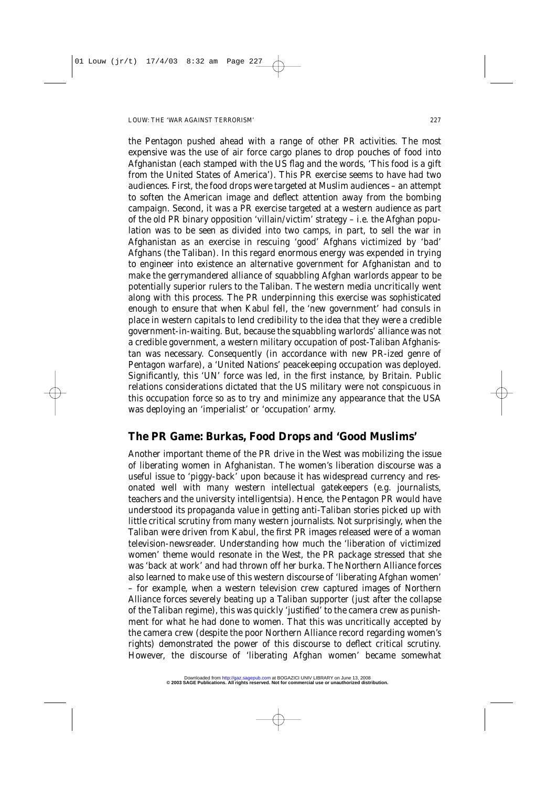the Pentagon pushed ahead with a range of other PR activities. The most expensive was the use of air force cargo planes to drop pouches of food into Afghanistan (each stamped with the US flag and the words, 'This food is a gift from the United States of America'). This PR exercise seems to have had two audiences. First, the food drops were targeted at Muslim audiences – an attempt to soften the American image and deflect attention away from the bombing campaign. Second, it was a PR exercise targeted at a western audience as part of the old PR binary opposition 'villain/victim' strategy – i.e. the Afghan population was to be seen as divided into two camps, in part, to sell the war in Afghanistan as an exercise in rescuing 'good' Afghans victimized by 'bad' Afghans (the Taliban). In this regard enormous energy was expended in trying to engineer into existence an alternative government for Afghanistan and to make the gerrymandered alliance of squabbling Afghan warlords appear to be potentially superior rulers to the Taliban. The western media uncritically went along with this process. The PR underpinning this exercise was sophisticated enough to ensure that when Kabul fell, the 'new government' had consuls in place in western capitals to lend credibility to the idea that they were a credible government-in-waiting. But, because the squabbling warlords' alliance was not a credible government, a western military occupation of post-Taliban Afghanistan was necessary. Consequently (in accordance with new PR-ized genre of Pentagon warfare), a 'United Nations' peacekeeping occupation was deployed. Significantly, this 'UN' force was led, in the first instance, by Britain. Public relations considerations dictated that the US military were not conspicuous in this occupation force so as to try and minimize any appearance that the USA was deploying an 'imperialist' or 'occupation' army.

# **The PR Game: Burkas, Food Drops and 'Good Muslims'**

Another important theme of the PR drive in the West was mobilizing the issue of liberating women in Afghanistan. The women's liberation discourse was a useful issue to 'piggy-back' upon because it has widespread currency and resonated well with many western intellectual gatekeepers (e.g. journalists, teachers and the university intelligentsia). Hence, the Pentagon PR would have understood its propaganda value in getting anti-Taliban stories picked up with little critical scrutiny from many western journalists. Not surprisingly, when the Taliban were driven from Kabul, the first PR images released were of a woman television-newsreader. Understanding how much the 'liberation of victimized women' theme would resonate in the West, the PR package stressed that she was 'back at work' and had thrown off her burka. The Northern Alliance forces also learned to make use of this western discourse of 'liberating Afghan women' – for example, when a western television crew captured images of Northern Alliance forces severely beating up a Taliban supporter (just after the collapse of the Taliban regime), this was quickly 'justified' to the camera crew as punishment for what he had done to women. That this was uncritically accepted by the camera crew (despite the poor Northern Alliance record regarding women's rights) demonstrated the power of this discourse to deflect critical scrutiny. However, the discourse of 'liberating Afghan women' became somewhat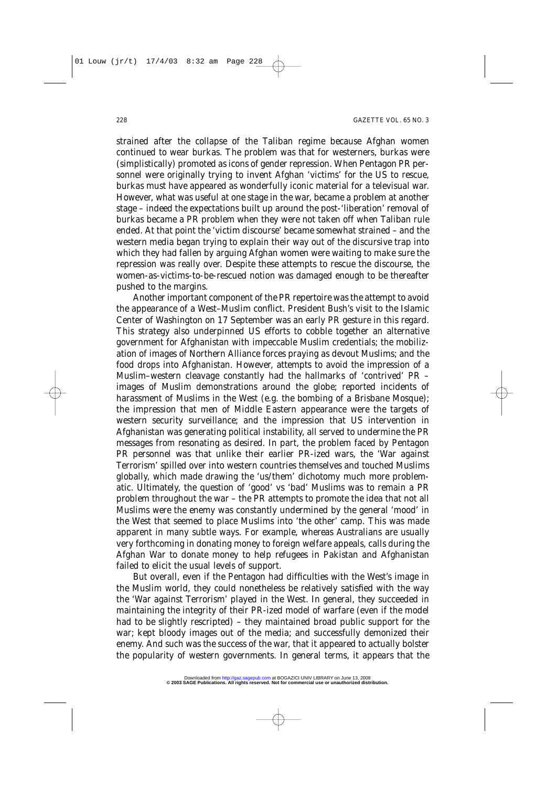strained after the collapse of the Taliban regime because Afghan women continued to wear burkas. The problem was that for westerners, burkas were (simplistically) promoted as icons of gender repression. When Pentagon PR personnel were originally trying to invent Afghan 'victims' for the US to rescue, burkas must have appeared as wonderfully iconic material for a televisual war. However, what was useful at one stage in the war, became a problem at another stage – indeed the expectations built up around the post-'liberation' removal of burkas became a PR problem when they were not taken off when Taliban rule ended. At that point the 'victim discourse' became somewhat strained – and the western media began trying to explain their way out of the discursive trap into which they had fallen by arguing Afghan women were waiting to make sure the repression was really over. Despite these attempts to rescue the discourse, the women-as-victims-to-be-rescued notion was damaged enough to be thereafter pushed to the margins.

Another important component of the PR repertoire was the attempt to avoid the appearance of a West–Muslim conflict. President Bush's visit to the Islamic Center of Washington on 17 September was an early PR gesture in this regard. This strategy also underpinned US efforts to cobble together an alternative government for Afghanistan with impeccable Muslim credentials; the mobilization of images of Northern Alliance forces praying as devout Muslims; and the food drops into Afghanistan. However, attempts to avoid the impression of a Muslim–western cleavage constantly had the hallmarks of 'contrived' PR – images of Muslim demonstrations around the globe; reported incidents of harassment of Muslims in the West (e.g. the bombing of a Brisbane Mosque); the impression that men of Middle Eastern appearance were the targets of western security surveillance; and the impression that US intervention in Afghanistan was generating political instability, all served to undermine the PR messages from resonating as desired. In part, the problem faced by Pentagon PR personnel was that unlike their earlier PR-ized wars, the 'War against Terrorism' spilled over into western countries themselves and touched Muslims globally, which made drawing the 'us/them' dichotomy much more problematic. Ultimately, the question of 'good' vs 'bad' Muslims was to remain a PR problem throughout the war – the PR attempts to promote the idea that not all Muslims were the enemy was constantly undermined by the general 'mood' in the West that seemed to place Muslims into 'the other' camp. This was made apparent in many subtle ways. For example, whereas Australians are usually very forthcoming in donating money to foreign welfare appeals, calls during the Afghan War to donate money to help refugees in Pakistan and Afghanistan failed to elicit the usual levels of support.

But overall, even if the Pentagon had difficulties with the West's image in the Muslim world, they could nonetheless be relatively satisfied with the way the 'War against Terrorism' played in the West. In general, they succeeded in maintaining the integrity of their PR-ized model of warfare (even if the model had to be slightly rescripted) – they maintained broad public support for the war; kept bloody images out of the media; and successfully demonized their enemy. And such was the success of the war, that it appeared to actually bolster the popularity of western governments. In general terms, it appears that the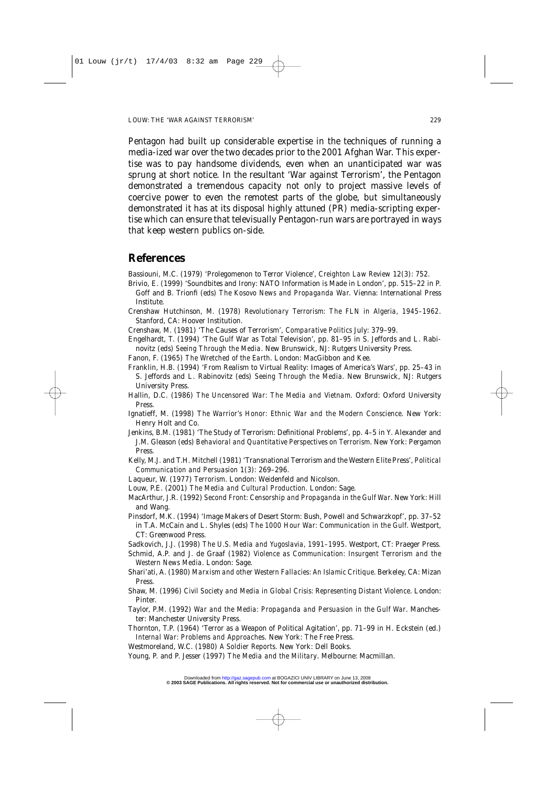Pentagon had built up considerable expertise in the techniques of running a media-ized war over the two decades prior to the 2001 Afghan War. This expertise was to pay handsome dividends, even when an unanticipated war was sprung at short notice. In the resultant 'War against Terrorism', the Pentagon demonstrated a tremendous capacity not only to project massive levels of coercive power to even the remotest parts of the globe, but simultaneously demonstrated it has at its disposal highly attuned (PR) media-scripting expertise which can ensure that televisually Pentagon-run wars are portrayed in ways that keep western publics on-side.

# **References**

- Bassiouni, M.C. (1979) 'Prolegomenon to Terror Violence', *Creighton Law Review* 12(3): 752.
- Brivio, E. (1999) 'Soundbites and Irony: NATO Information is Made in London', pp. 515–22 in P. Goff and B. Trionfi (eds) *The Kosovo News and Propaganda War.* Vienna: International Press Institute.
- Crenshaw Hutchinson, M. (1978) *Revolutionary Terrorism: The FLN in Algeria, 1945–1962*. Stanford, CA: Hoover Institution.
- Crenshaw, M. (1981) 'The Causes of Terrorism', *Comparative Politics* July: 379–99.

Engelhardt, T. (1994) 'The Gulf War as Total Television', pp. 81–95 in S. Jeffords and L. Rabinovitz (eds) *Seeing Through the Media*. New Brunswick, NJ: Rutgers University Press.

- Fanon, F. (1965) *The Wretched of the Earth*. London: MacGibbon and Kee.
- Franklin, H.B. (1994) 'From Realism to Virtual Reality: Images of America's Wars', pp. 25–43 in S. Jeffords and L. Rabinovitz (eds) *Seeing Through the Media*. New Brunswick, NJ: Rutgers University Press.
- Hallin, D.C. (1986) *The Uncensored War: The Media and Vietnam*. Oxford: Oxford University Press.
- Ignatieff, M. (1998) *The Warrior's Honor: Ethnic War and the Modern Conscience*. New York: Henry Holt and Co.
- Jenkins, B.M. (1981) 'The Study of Terrorism: Definitional Problems', pp. 4–5 in Y. Alexander and J.M. Gleason (eds) *Behavioral and Quantitative Perspectives on Terrorism*. New York: Pergamon Press.
- Kelly, M.J. and T.H. Mitchell (1981) 'Transnational Terrorism and the Western Elite Press', *Political Communication and Persuasion* 1(3): 269–296.
- Laqueur, W. (1977) *Terrorism*. London: Weidenfeld and Nicolson.
- Louw, P.E. (2001) *The Media and Cultural Production*. London: Sage.
- MacArthur, J.R. (1992) *Second Front: Censorship and Propaganda in the Gulf War*. New York: Hill and Wang.
- Pinsdorf, M.K. (1994) 'Image Makers of Desert Storm: Bush, Powell and Schwarzkopf', pp. 37–52 in T.A. McCain and L. Shyles (eds) *The 1000 Hour War: Communication in the Gulf*. Westport, CT: Greenwood Press.

Sadkovich, J.J. (1998) *The U.S. Media and Yugoslavia, 1991–1995*. Westport, CT: Praeger Press.

Schmid, A.P. and J. de Graaf (1982) *Violence as Communication: Insurgent Terrorism and the Western News Media*. London: Sage.

Shari'ati, A. (1980) *Marxism and other Western Fallacies: An Islamic Critique*. Berkeley, CA: Mizan Press.

Shaw, M. (1996) *Civil Society and Media in Global Crisis: Representing Distant Violence*. London: Pinter.

- Taylor, P.M. (1992) *War and the Media: Propaganda and Persuasion in the Gulf War*. Manchester: Manchester University Press.
- Thornton, T.P. (1964) 'Terror as a Weapon of Political Agitation', pp. 71–99 in H. Eckstein (ed.) *Internal War: Problems and Approaches*. New York: The Free Press.
- Westmoreland, W.C. (1980) *A Soldier Reports*. New York: Dell Books.

Young, P. and P. Jesser (1997) *The Media and the Military*. Melbourne: Macmillan.